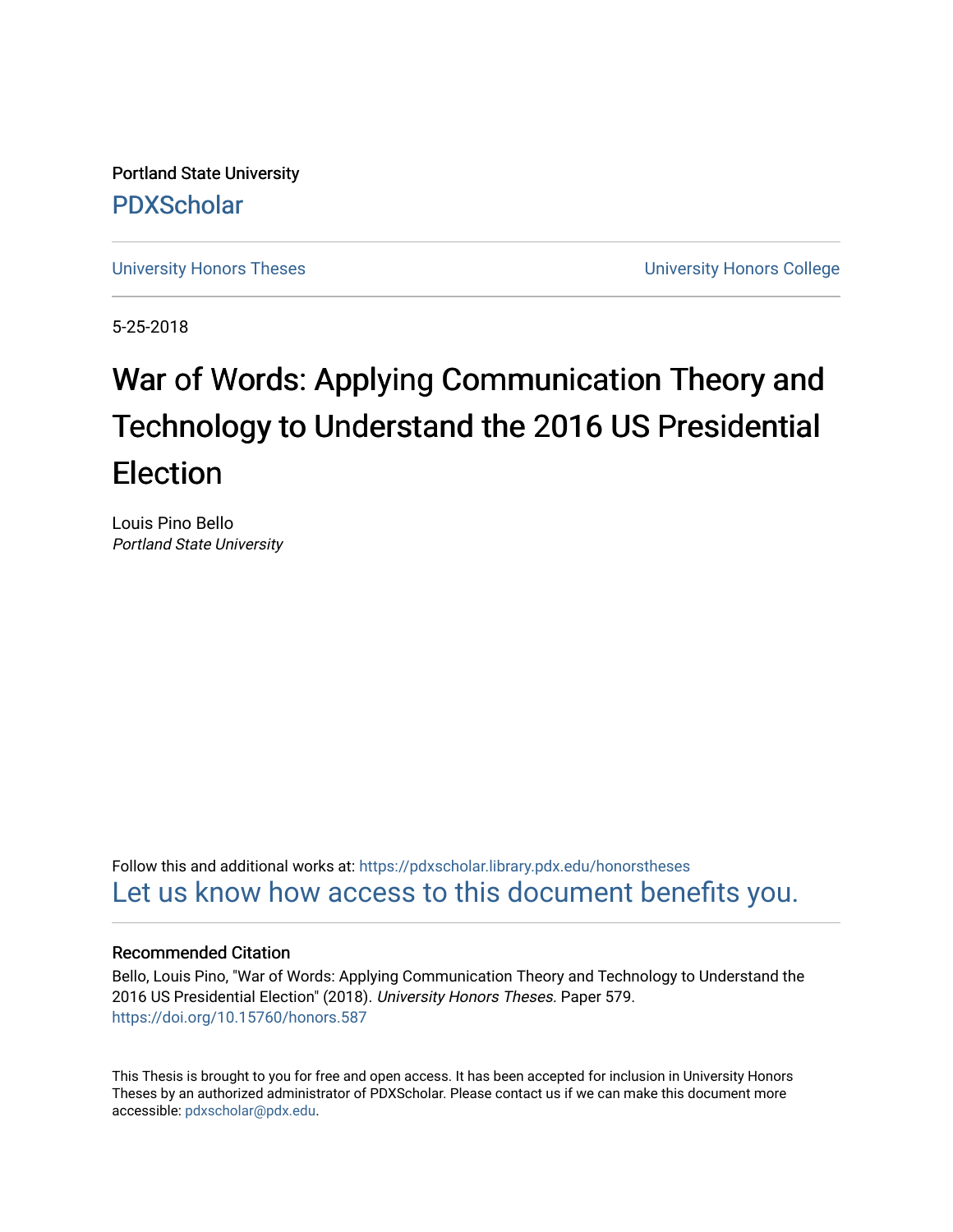Portland State University [PDXScholar](https://pdxscholar.library.pdx.edu/)

[University Honors Theses](https://pdxscholar.library.pdx.edu/honorstheses) [University Honors College](https://pdxscholar.library.pdx.edu/honors) 

5-25-2018

# War of Words: Applying Communication Theory and Technology to Understand the 2016 US Presidential Election

Louis Pino Bello Portland State University

Follow this and additional works at: [https://pdxscholar.library.pdx.edu/honorstheses](https://pdxscholar.library.pdx.edu/honorstheses?utm_source=pdxscholar.library.pdx.edu%2Fhonorstheses%2F579&utm_medium=PDF&utm_campaign=PDFCoverPages)  [Let us know how access to this document benefits you.](http://library.pdx.edu/services/pdxscholar-services/pdxscholar-feedback/) 

## Recommended Citation

Bello, Louis Pino, "War of Words: Applying Communication Theory and Technology to Understand the 2016 US Presidential Election" (2018). University Honors Theses. Paper 579. <https://doi.org/10.15760/honors.587>

This Thesis is brought to you for free and open access. It has been accepted for inclusion in University Honors Theses by an authorized administrator of PDXScholar. Please contact us if we can make this document more accessible: [pdxscholar@pdx.edu.](mailto:pdxscholar@pdx.edu)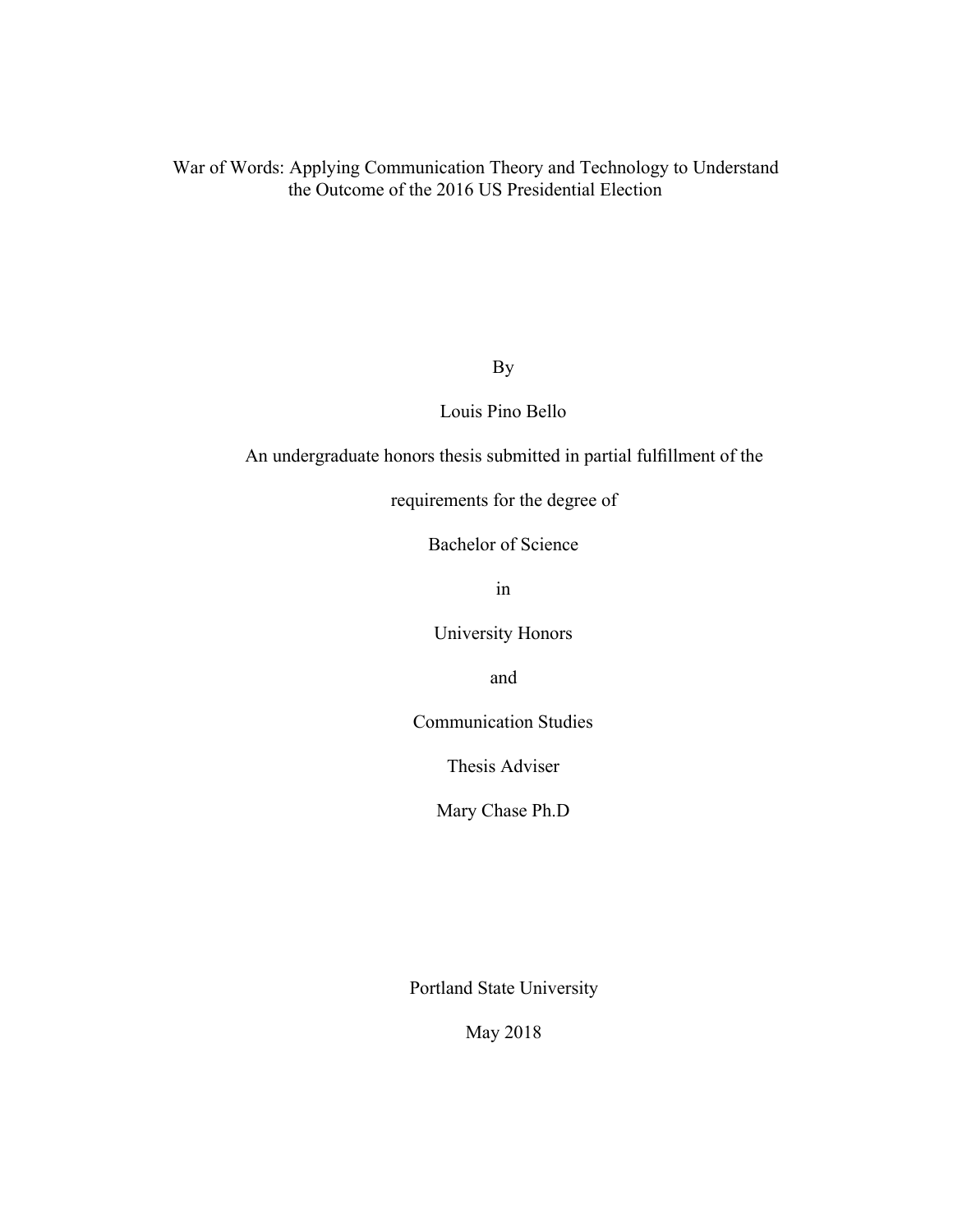By

Louis Pino Bello

An undergraduate honors thesis submitted in partial fulfillment of the

requirements for the degree of

Bachelor of Science

in

University Honors

and

Communication Studies

Thesis Adviser

Mary Chase Ph.D

Portland State University

May 2018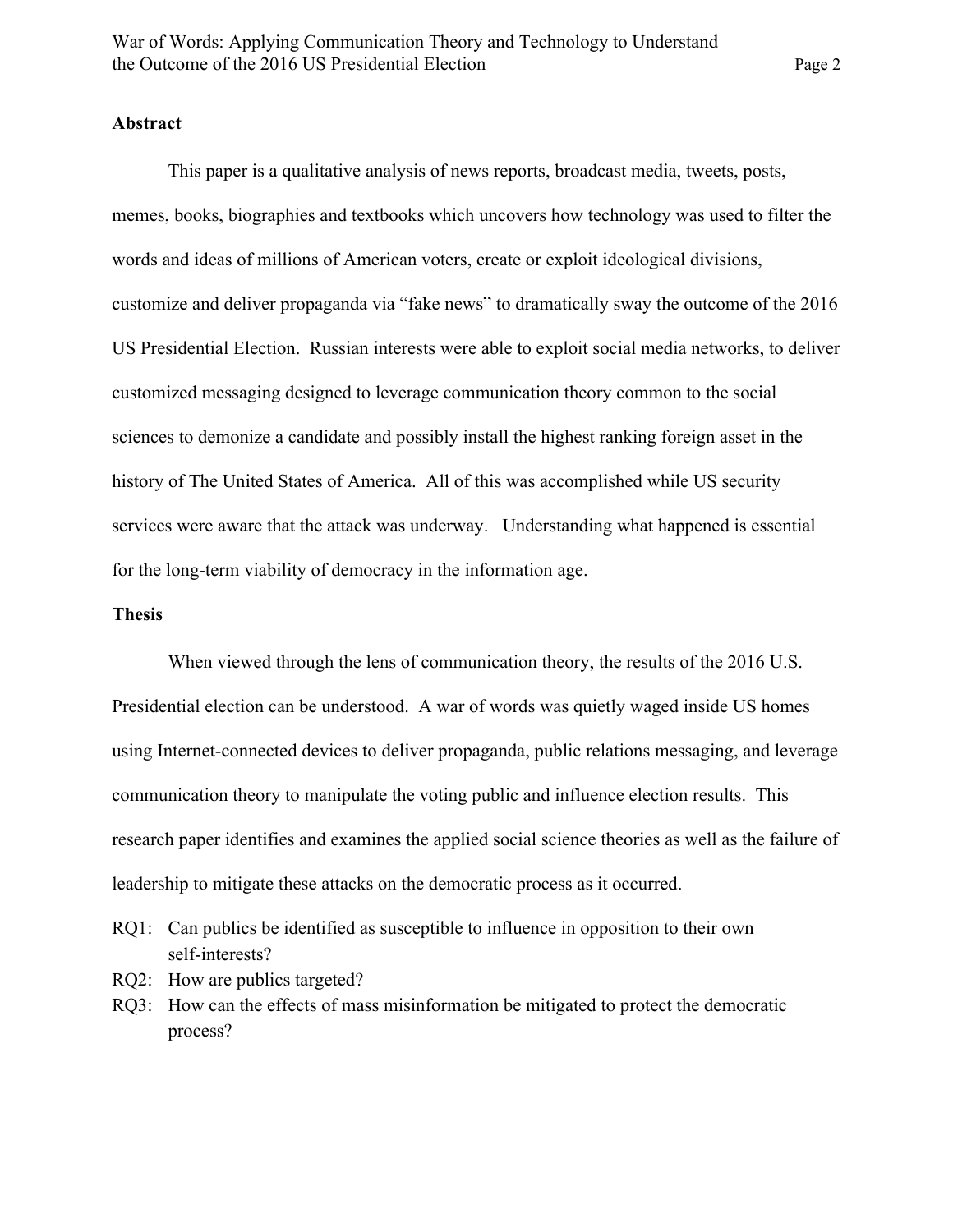## **Abstract**

This paper is a qualitative analysis of news reports, broadcast media, tweets, posts, memes, books, biographies and textbooks which uncovers how technology was used to filter the words and ideas of millions of American voters, create or exploit ideological divisions, customize and deliver propaganda via "fake news" to dramatically sway the outcome of the 2016 US Presidential Election. Russian interests were able to exploit social media networks, to deliver customized messaging designed to leverage communication theory common to the social sciences to demonize a candidate and possibly install the highest ranking foreign asset in the history of The United States of America. All of this was accomplished while US security services were aware that the attack was underway. Understanding what happened is essential for the long-term viability of democracy in the information age.

#### **Thesis**

When viewed through the lens of communication theory, the results of the 2016 U.S. Presidential election can be understood. A war of words was quietly waged inside US homes using Internet-connected devices to deliver propaganda, public relations messaging, and leverage communication theory to manipulate the voting public and influence election results. This research paper identifies and examines the applied social science theories as well as the failure of leadership to mitigate these attacks on the democratic process as it occurred.

- RQ1: Can publics be identified as susceptible to influence in opposition to their own self-interests?
- RQ2: How are publics targeted?
- RQ3: How can the effects of mass misinformation be mitigated to protect the democratic process?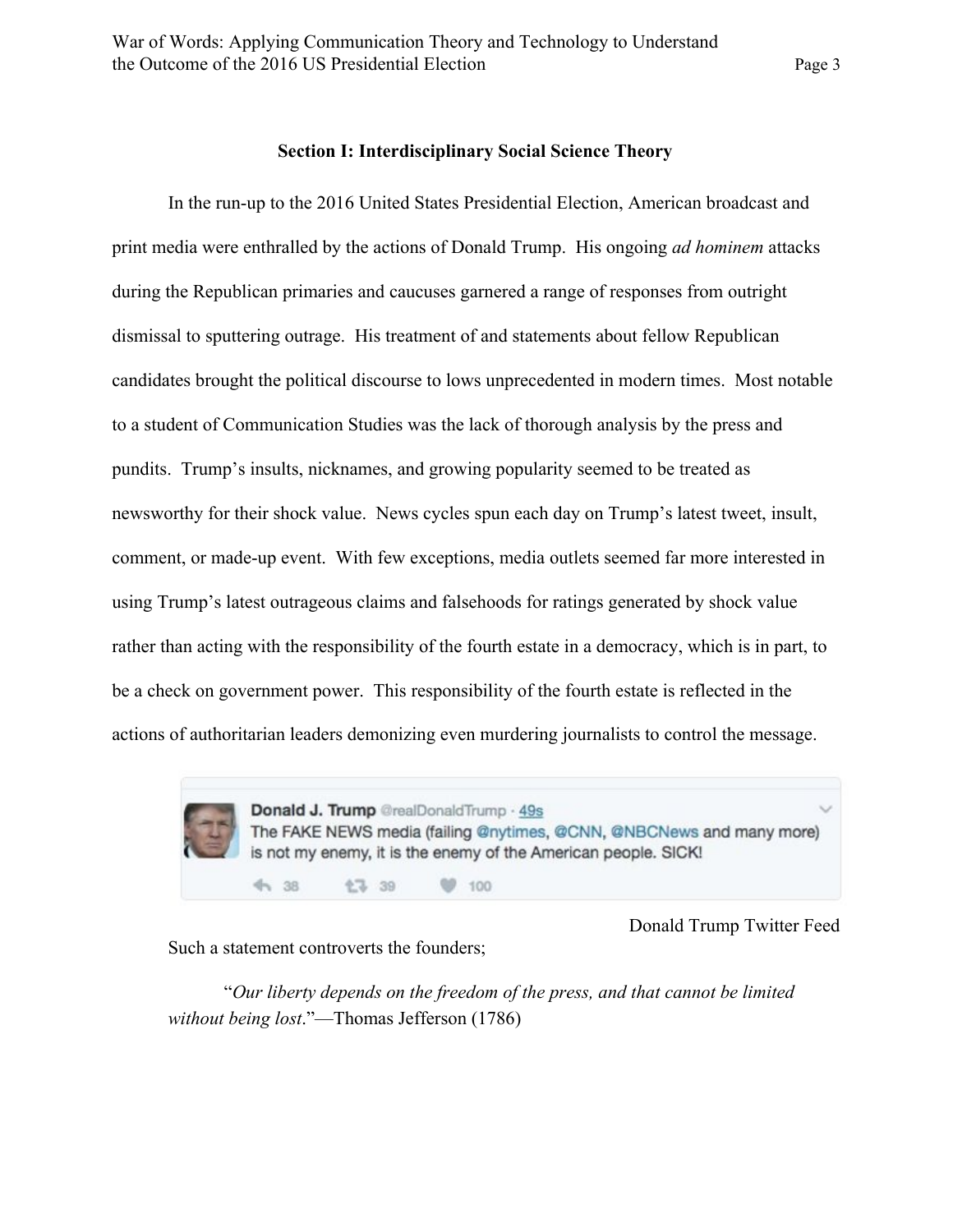#### **Section I: Interdisciplinary Social Science Theory**

In the run-up to the 2016 United States Presidential Election, American broadcast and print media were enthralled by the actions of Donald Trump. His ongoing *ad hominem* attacks during the Republican primaries and caucuses garnered a range of responses from outright dismissal to sputtering outrage. His treatment of and statements about fellow Republican candidates brought the political discourse to lows unprecedented in modern times. Most notable to a student of Communication Studies was the lack of thorough analysis by the press and pundits. Trump's insults, nicknames, and growing popularity seemed to be treated as newsworthy for their shock value. News cycles spun each day on Trump's latest tweet, insult, comment, or made-up event. With few exceptions, media outlets seemed far more interested in using Trump's latest outrageous claims and falsehoods for ratings generated by shock value rather than acting with the responsibility of the fourth estate in a democracy, which is in part, to be a check on government power. This responsibility of the fourth estate is reflected in the actions of authoritarian leaders demonizing even murdering journalists to control the message.



Donald Trump Twitter Feed

Such a statement controverts the founders;

"*Our liberty depends on the freedom of the press, and that cannot be limited without being lost*."—Thomas Jefferson (1786)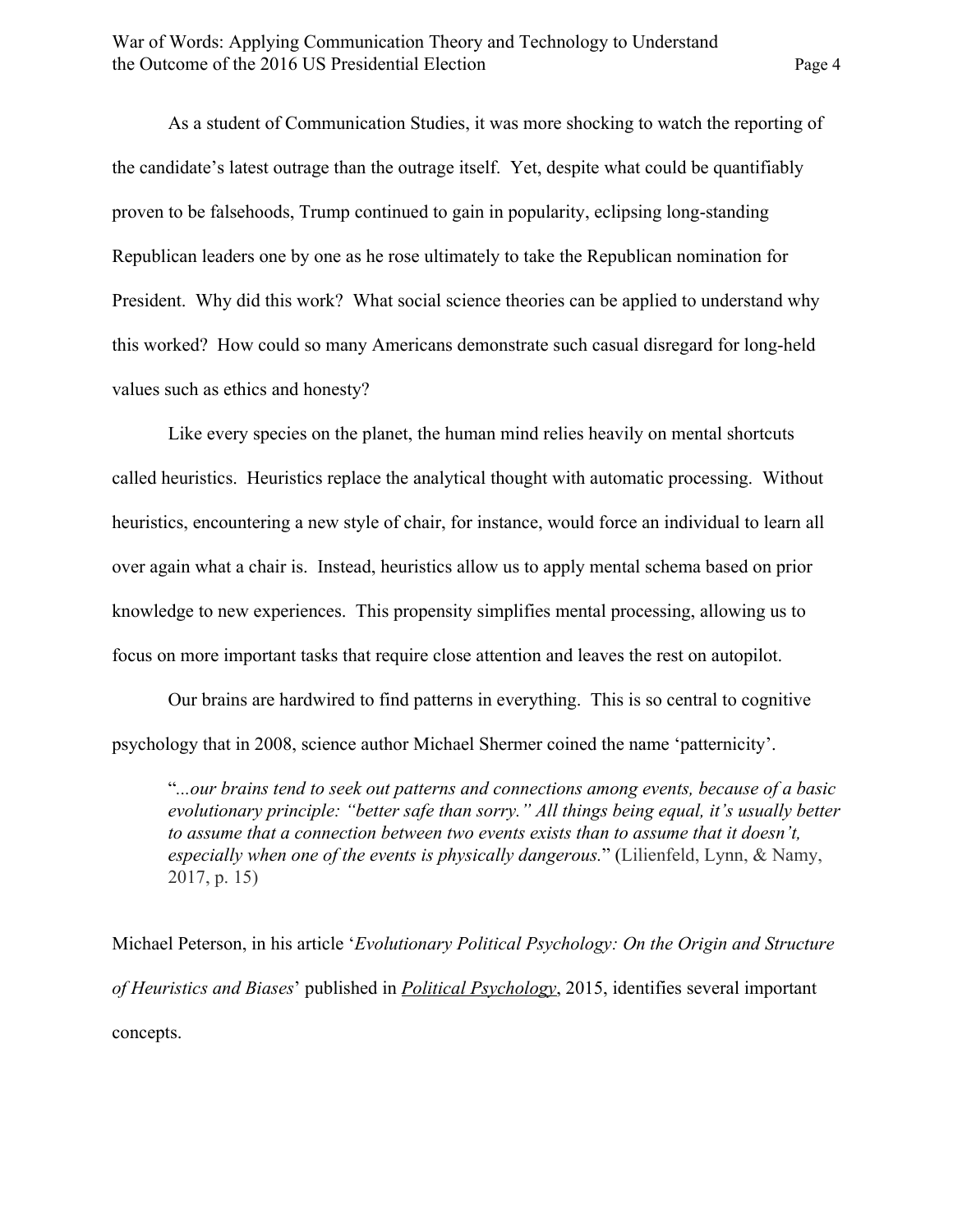As a student of Communication Studies, it was more shocking to watch the reporting of the candidate's latest outrage than the outrage itself. Yet, despite what could be quantifiably proven to be falsehoods, Trump continued to gain in popularity, eclipsing long-standing Republican leaders one by one as he rose ultimately to take the Republican nomination for President. Why did this work? What social science theories can be applied to understand why this worked? How could so many Americans demonstrate such casual disregard for long-held values such as ethics and honesty?

Like every species on the planet, the human mind relies heavily on mental shortcuts called heuristics. Heuristics replace the analytical thought with automatic processing. Without heuristics, encountering a new style of chair, for instance, would force an individual to learn all over again what a chair is. Instead, heuristics allow us to apply mental schema based on prior knowledge to new experiences. This propensity simplifies mental processing, allowing us to focus on more important tasks that require close attention and leaves the rest on autopilot.

Our brains are hardwired to find patterns in everything. This is so central to cognitive psychology that in 2008, science author Michael Shermer coined the name 'patternicity'.

"*...our brains tend to seek out patterns and connections among events, because of a basic evolutionary principle: "better safe than sorry." All things being equal, it's usually better to assume that a connection between two events exists than to assume that it doesn't, especially when one of the events is physically dangerous.*" (Lilienfeld, Lynn, & Namy, 2017, p. 15)

Michael Peterson, in his article '*Evolutionary Political Psychology: On the Origin and Structure of Heuristics and Biases*' published in *Political Psychology*, 2015, identifies several important concepts.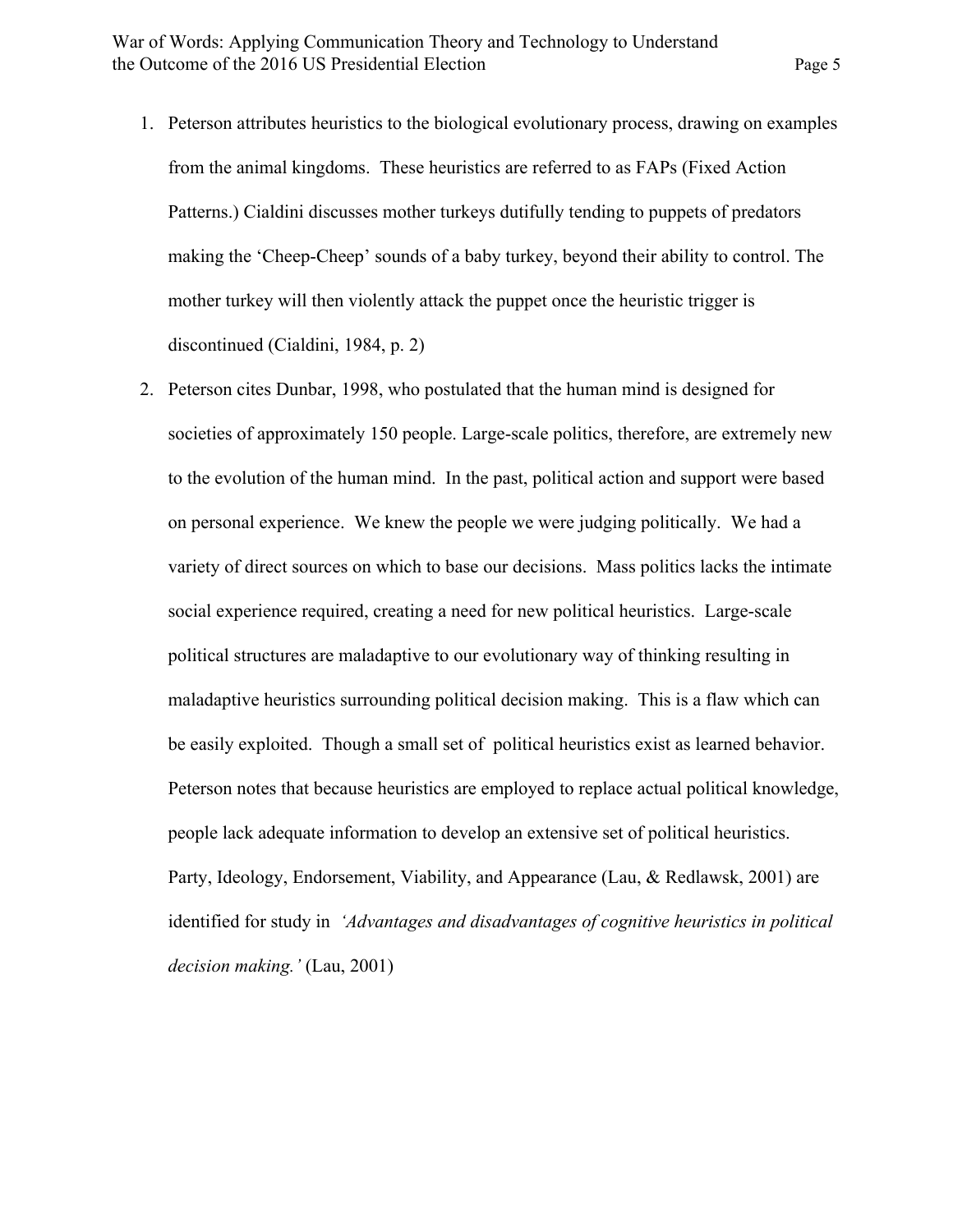- 1. Peterson attributes heuristics to the biological evolutionary process, drawing on examples from the animal kingdoms. These heuristics are referred to as FAPs (Fixed Action Patterns.) Cialdini discusses mother turkeys dutifully tending to puppets of predators making the 'Cheep-Cheep' sounds of a baby turkey, beyond their ability to control. The mother turkey will then violently attack the puppet once the heuristic trigger is discontinued (Cialdini, 1984, p. 2)
- 2. Peterson cites Dunbar, 1998, who postulated that the human mind is designed for societies of approximately 150 people. Large-scale politics, therefore, are extremely new to the evolution of the human mind. In the past, political action and support were based on personal experience. We knew the people we were judging politically. We had a variety of direct sources on which to base our decisions. Mass politics lacks the intimate social experience required, creating a need for new political heuristics. Large-scale political structures are maladaptive to our evolutionary way of thinking resulting in maladaptive heuristics surrounding political decision making. This is a flaw which can be easily exploited. Though a small set of political heuristics exist as learned behavior. Peterson notes that because heuristics are employed to replace actual political knowledge, people lack adequate information to develop an extensive set of political heuristics. Party, Ideology, Endorsement, Viability, and Appearance (Lau, & Redlawsk, 2001) are identified for study in *'Advantages and disadvantages of cognitive heuristics in political decision making.'* (Lau, 2001)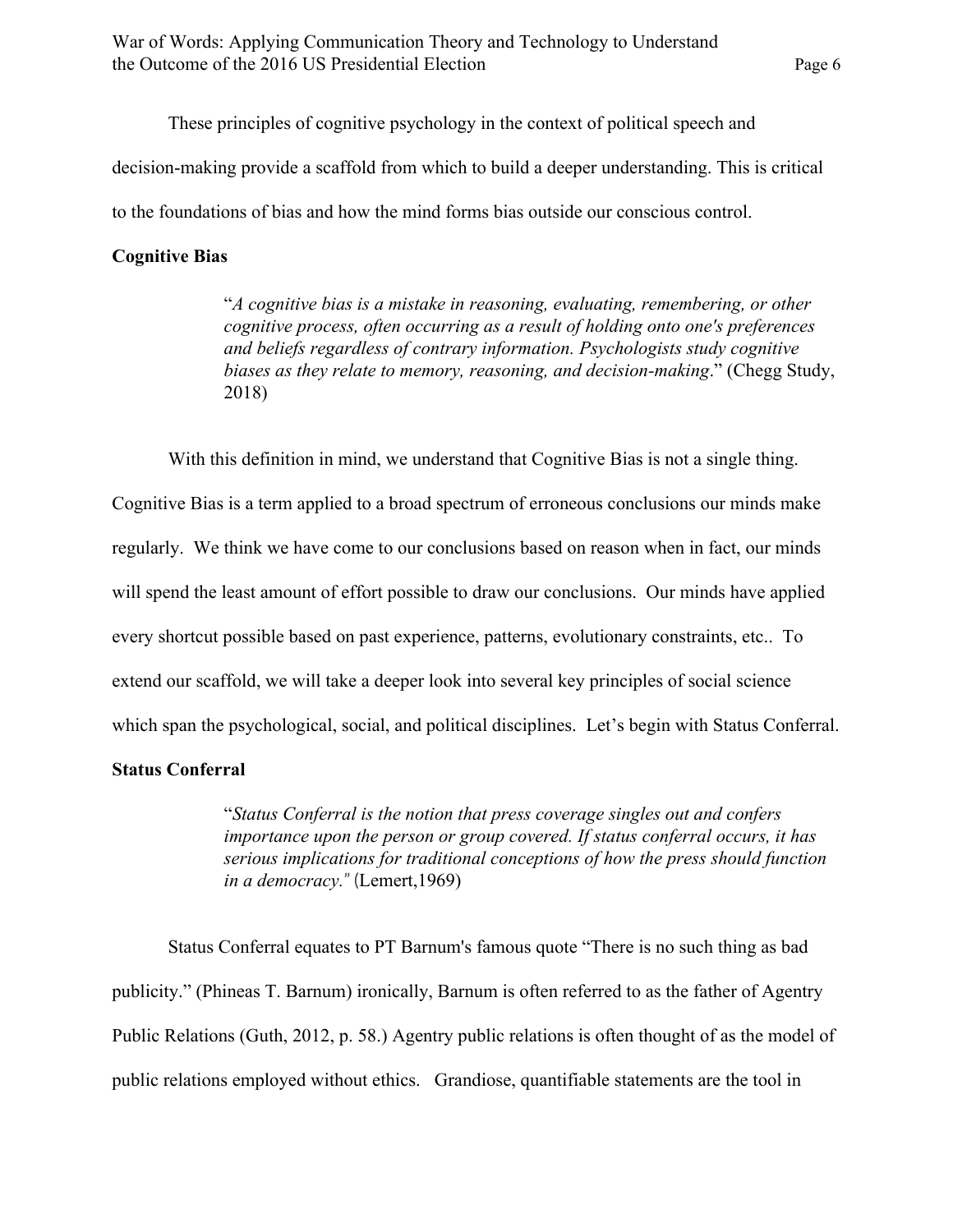These principles of cognitive psychology in the context of political speech and decision-making provide a scaffold from which to build a deeper understanding. This is critical to the foundations of bias and how the mind forms bias outside our conscious control.

## **Cognitive Bias**

"*A cognitive bias is a mistake in reasoning, evaluating, remembering, or other cognitive process, often occurring as a result of holding onto one's preferences and beliefs regardless of contrary information. Psychologists study cognitive biases as they relate to memory, reasoning, and decision-making*." (Chegg Study, 2018)

With this definition in mind, we understand that Cognitive Bias is not a single thing.

Cognitive Bias is a term applied to a broad spectrum of erroneous conclusions our minds make regularly. We think we have come to our conclusions based on reason when in fact, our minds will spend the least amount of effort possible to draw our conclusions. Our minds have applied every shortcut possible based on past experience, patterns, evolutionary constraints, etc.. To extend our scaffold, we will take a deeper look into several key principles of social science which span the psychological, social, and political disciplines. Let's begin with Status Conferral.

# **Status Conferral**

"*Status Conferral is the notion that press coverage singles out and confers importance upon the person or group covered. If status conferral occurs, it has serious implications for traditional conceptions of how the press should function in a democracy.*" (Lemert,1969)

Status Conferral equates to PT Barnum's famous quote "There is no such thing as bad publicity." (Phineas T. Barnum) ironically, Barnum is often referred to as the father of Agentry Public Relations (Guth, 2012, p. 58.) Agentry public relations is often thought of as the model of public relations employed without ethics. Grandiose, quantifiable statements are the tool in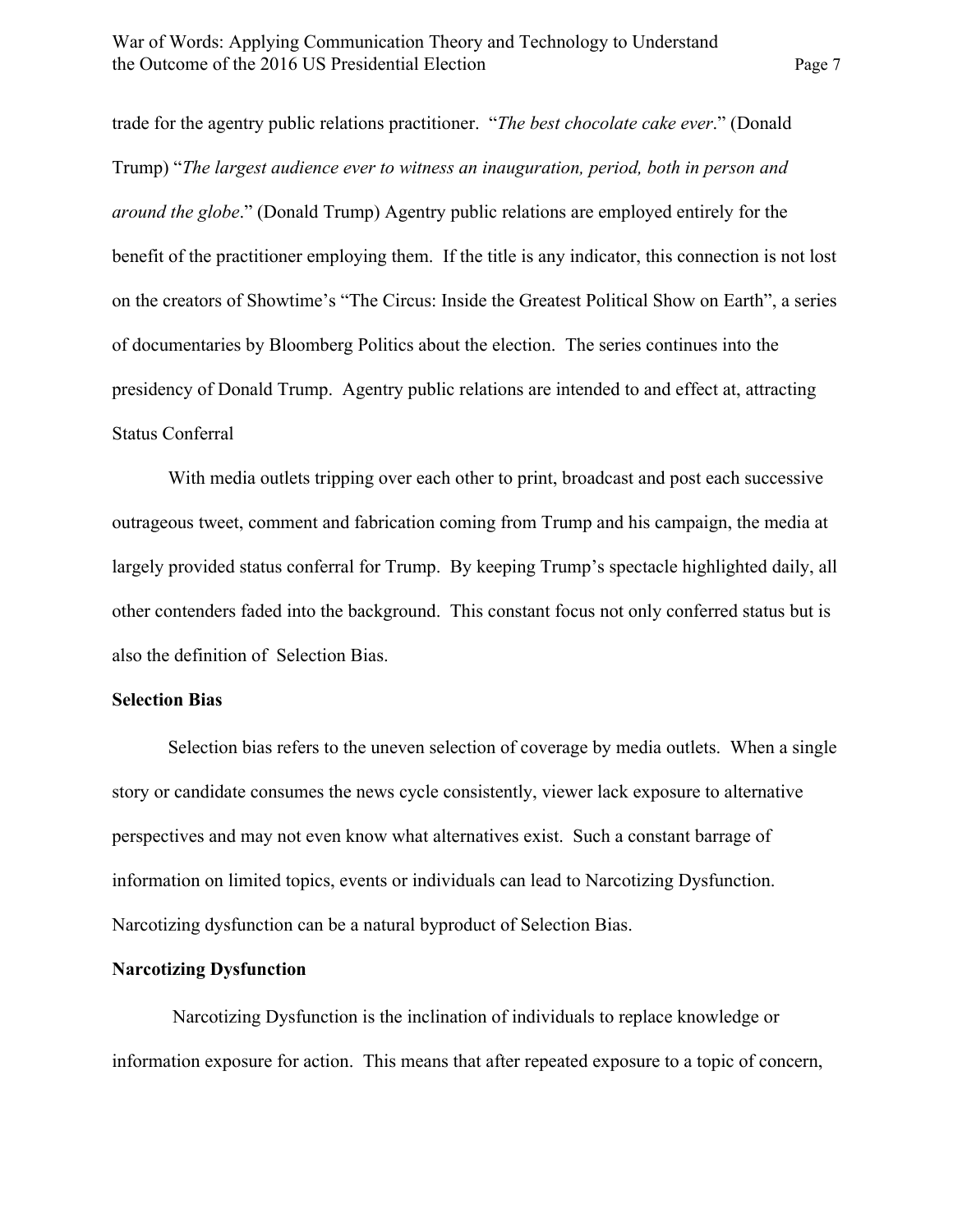trade for the agentry public relations practitioner. "*The best chocolate cake ever*." (Donald Trump) "*The largest audience ever to witness an inauguration, period, both in person and around the globe*." (Donald Trump) Agentry public relations are employed entirely for the benefit of the practitioner employing them. If the title is any indicator, this connection is not lost on the creators of Showtime's "The Circus: Inside the Greatest Political Show on Earth", a series of documentaries by Bloomberg Politics about the election. The series continues into the presidency of Donald Trump. Agentry public relations are intended to and effect at, attracting Status Conferral

With media outlets tripping over each other to print, broadcast and post each successive outrageous tweet, comment and fabrication coming from Trump and his campaign, the media at largely provided status conferral for Trump. By keeping Trump's spectacle highlighted daily, all other contenders faded into the background. This constant focus not only conferred status but is also the definition of Selection Bias.

## **Selection Bias**

Selection bias refers to the uneven selection of coverage by media outlets. When a single story or candidate consumes the news cycle consistently, viewer lack exposure to alternative perspectives and may not even know what alternatives exist. Such a constant barrage of information on limited topics, events or individuals can lead to Narcotizing Dysfunction. Narcotizing dysfunction can be a natural byproduct of Selection Bias.

## **Narcotizing Dysfunction**

 Narcotizing Dysfunction is the inclination of individuals to replace knowledge or information exposure for action. This means that after repeated exposure to a topic of concern,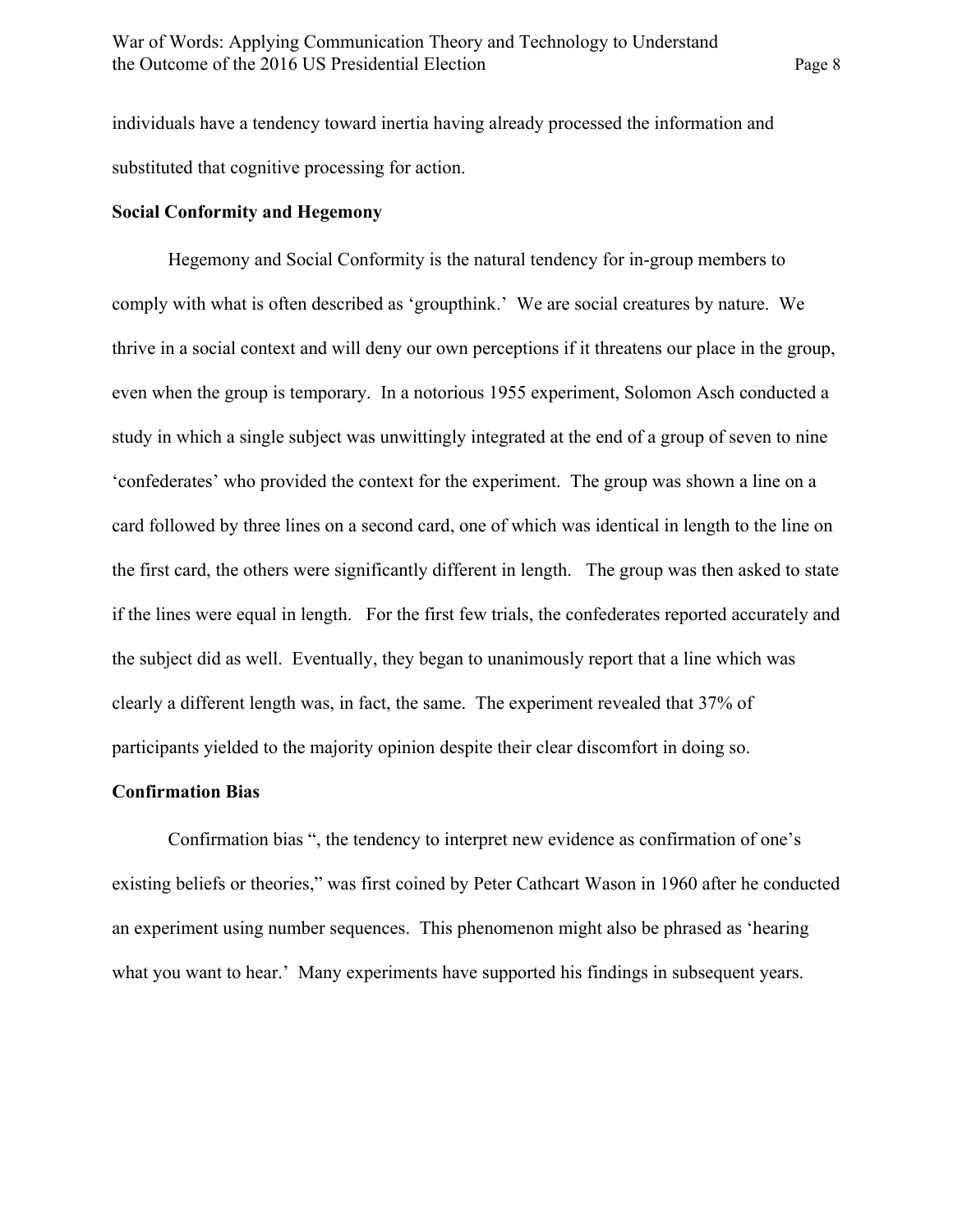individuals have a tendency toward inertia having already processed the information and substituted that cognitive processing for action.

## **Social Conformity and Hegemony**

Hegemony and Social Conformity is the natural tendency for in-group members to comply with what is often described as 'groupthink.' We are social creatures by nature. We thrive in a social context and will deny our own perceptions if it threatens our place in the group, even when the group is temporary. In a notorious 1955 experiment, Solomon Asch conducted a study in which a single subject was unwittingly integrated at the end of a group of seven to nine 'confederates' who provided the context for the experiment. The group was shown a line on a card followed by three lines on a second card, one of which was identical in length to the line on the first card, the others were significantly different in length. The group was then asked to state if the lines were equal in length. For the first few trials, the confederates reported accurately and the subject did as well. Eventually, they began to unanimously report that a line which was clearly a different length was, in fact, the same. The experiment revealed that 37% of participants yielded to the majority opinion despite their clear discomfort in doing so.

#### **Confirmation Bias**

Confirmation bias ", the tendency to interpret new evidence as confirmation of one's existing beliefs or theories," was first coined by Peter Cathcart Wason in 1960 after he conducted an experiment using number sequences. This phenomenon might also be phrased as 'hearing what you want to hear.' Many experiments have supported his findings in subsequent years.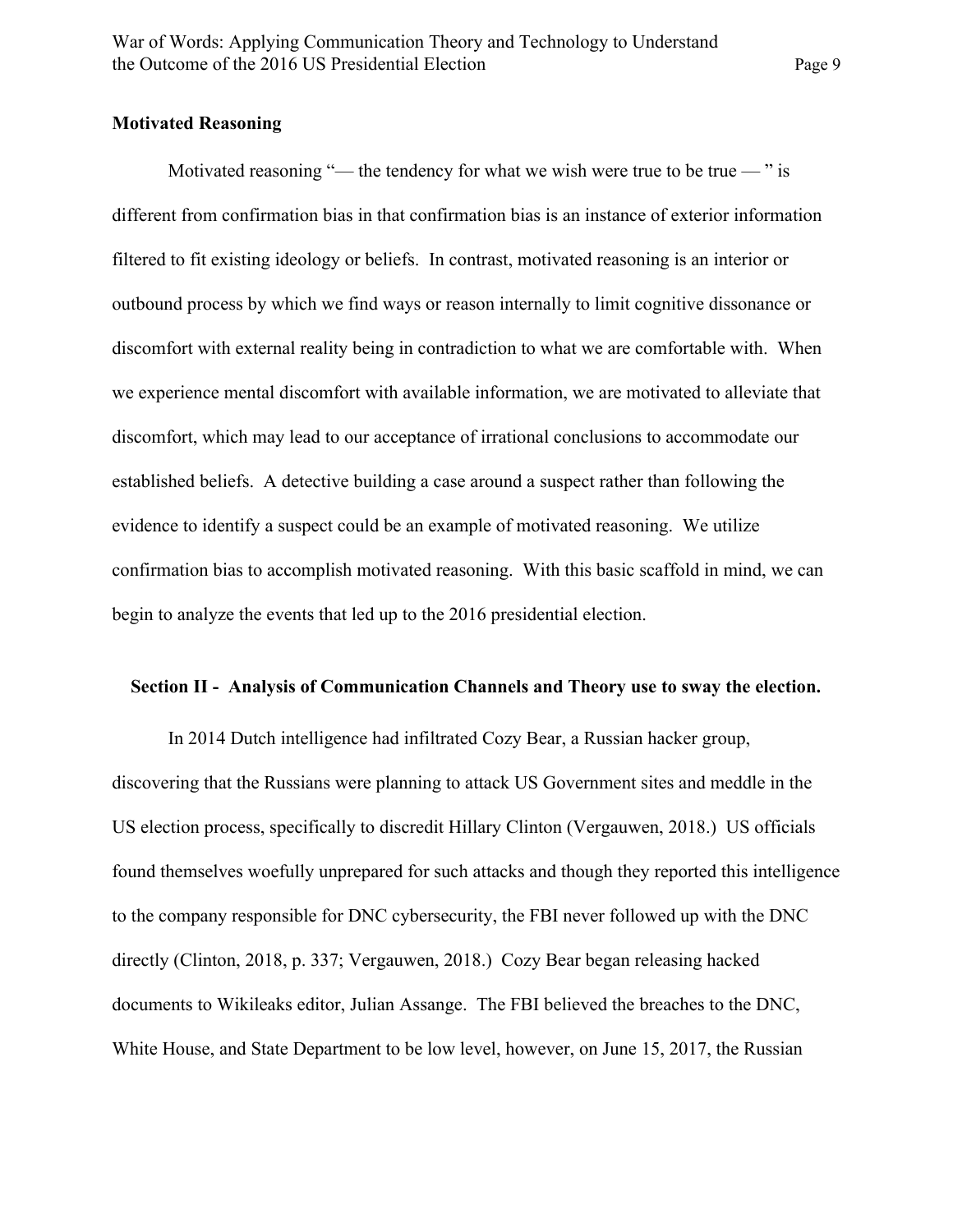## **Motivated Reasoning**

Motivated reasoning "— the tendency for what we wish were true to be true — " is different from confirmation bias in that confirmation bias is an instance of exterior information filtered to fit existing ideology or beliefs. In contrast, motivated reasoning is an interior or outbound process by which we find ways or reason internally to limit cognitive dissonance or discomfort with external reality being in contradiction to what we are comfortable with. When we experience mental discomfort with available information, we are motivated to alleviate that discomfort, which may lead to our acceptance of irrational conclusions to accommodate our established beliefs. A detective building a case around a suspect rather than following the evidence to identify a suspect could be an example of motivated reasoning. We utilize confirmation bias to accomplish motivated reasoning. With this basic scaffold in mind, we can begin to analyze the events that led up to the 2016 presidential election.

#### **Section II - Analysis of Communication Channels and Theory use to sway the election.**

In 2014 Dutch intelligence had infiltrated Cozy Bear, a Russian hacker group, discovering that the Russians were planning to attack US Government sites and meddle in the US election process, specifically to discredit Hillary Clinton (Vergauwen, 2018.) US officials found themselves woefully unprepared for such attacks and though they reported this intelligence to the company responsible for DNC cybersecurity, the FBI never followed up with the DNC directly (Clinton, 2018, p. 337; Vergauwen, 2018.) Cozy Bear began releasing hacked documents to Wikileaks editor, Julian Assange. The FBI believed the breaches to the DNC, White House, and State Department to be low level, however, on June 15, 2017, the Russian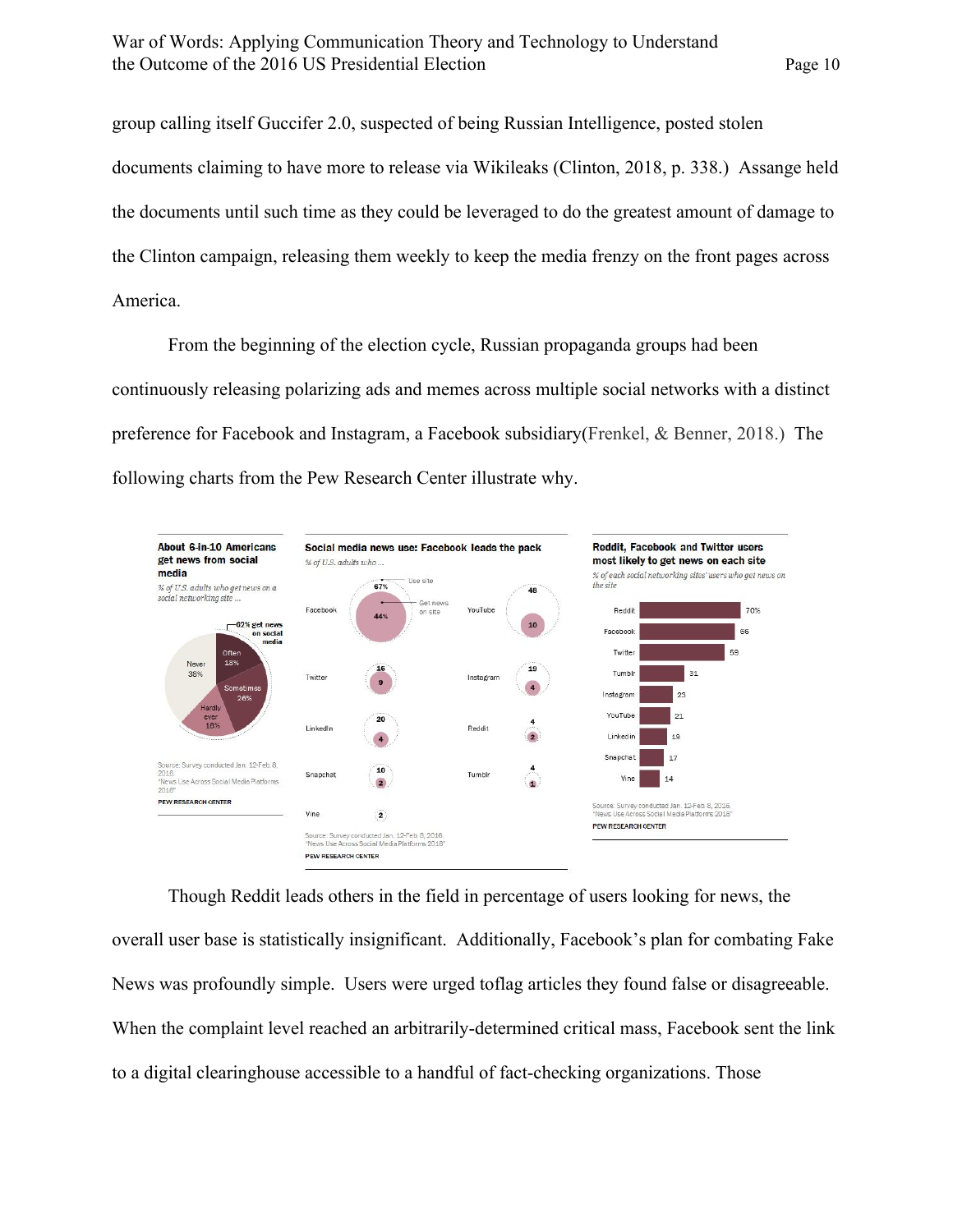group calling itself Guccifer 2.0, suspected of being Russian Intelligence, posted stolen documents claiming to have more to release via Wikileaks (Clinton, 2018, p. 338.) Assange held the documents until such time as they could be leveraged to do the greatest amount of damage to the Clinton campaign, releasing them weekly to keep the media frenzy on the front pages across America.

From the beginning of the election cycle, Russian propaganda groups had been continuously releasing polarizing ads and memes across multiple social networks with a distinct preference for Facebook and Instagram, a Facebook subsidiary(Frenkel, & Benner, 2018.) The following charts from the Pew Research Center illustrate why.



Though Reddit leads others in the field in percentage of users looking for news, the overall user base is statistically insignificant. Additionally, Facebook's plan for combating Fake News was profoundly simple. Users were urged toflag articles they found false or disagreeable. When the complaint level reached an arbitrarily-determined critical mass, Facebook sent the link to a digital clearinghouse accessible to a handful of fact-checking organizations. Those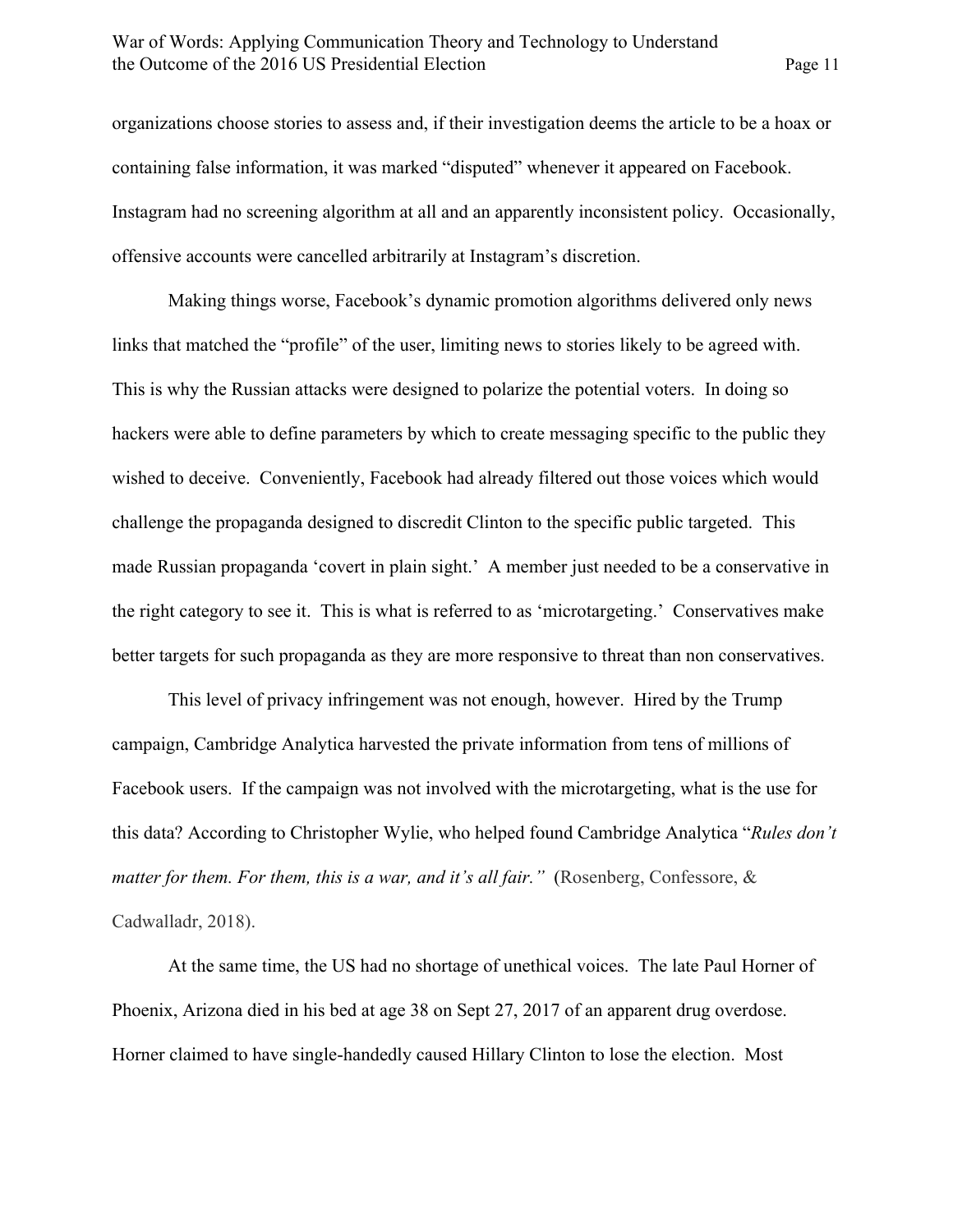organizations choose stories to assess and, if their investigation deems the article to be a hoax or containing false information, it was marked "disputed" whenever it appeared on Facebook. Instagram had no screening algorithm at all and an apparently inconsistent policy. Occasionally, offensive accounts were cancelled arbitrarily at Instagram's discretion.

Making things worse, Facebook's dynamic promotion algorithms delivered only news links that matched the "profile" of the user, limiting news to stories likely to be agreed with. This is why the Russian attacks were designed to polarize the potential voters. In doing so hackers were able to define parameters by which to create messaging specific to the public they wished to deceive. Conveniently, Facebook had already filtered out those voices which would challenge the propaganda designed to discredit Clinton to the specific public targeted. This made Russian propaganda 'covert in plain sight.' A member just needed to be a conservative in the right category to see it. This is what is referred to as 'microtargeting.' Conservatives make better targets for such propaganda as they are more responsive to threat than non conservatives.

This level of privacy infringement was not enough, however. Hired by the Trump campaign, Cambridge Analytica harvested the private information from tens of millions of Facebook users. If the campaign was not involved with the microtargeting, what is the use for this data? According to Christopher Wylie, who helped found Cambridge Analytica "*Rules don't matter for them. For them, this is a war, and it's all fair.*" (Rosenberg, Confessore, & Cadwalladr, 2018).

At the same time, the US had no shortage of unethical voices. The late Paul Horner of Phoenix, Arizona died in his bed at age 38 on Sept 27, 2017 of an apparent drug overdose. Horner claimed to have single-handedly caused Hillary Clinton to lose the election. Most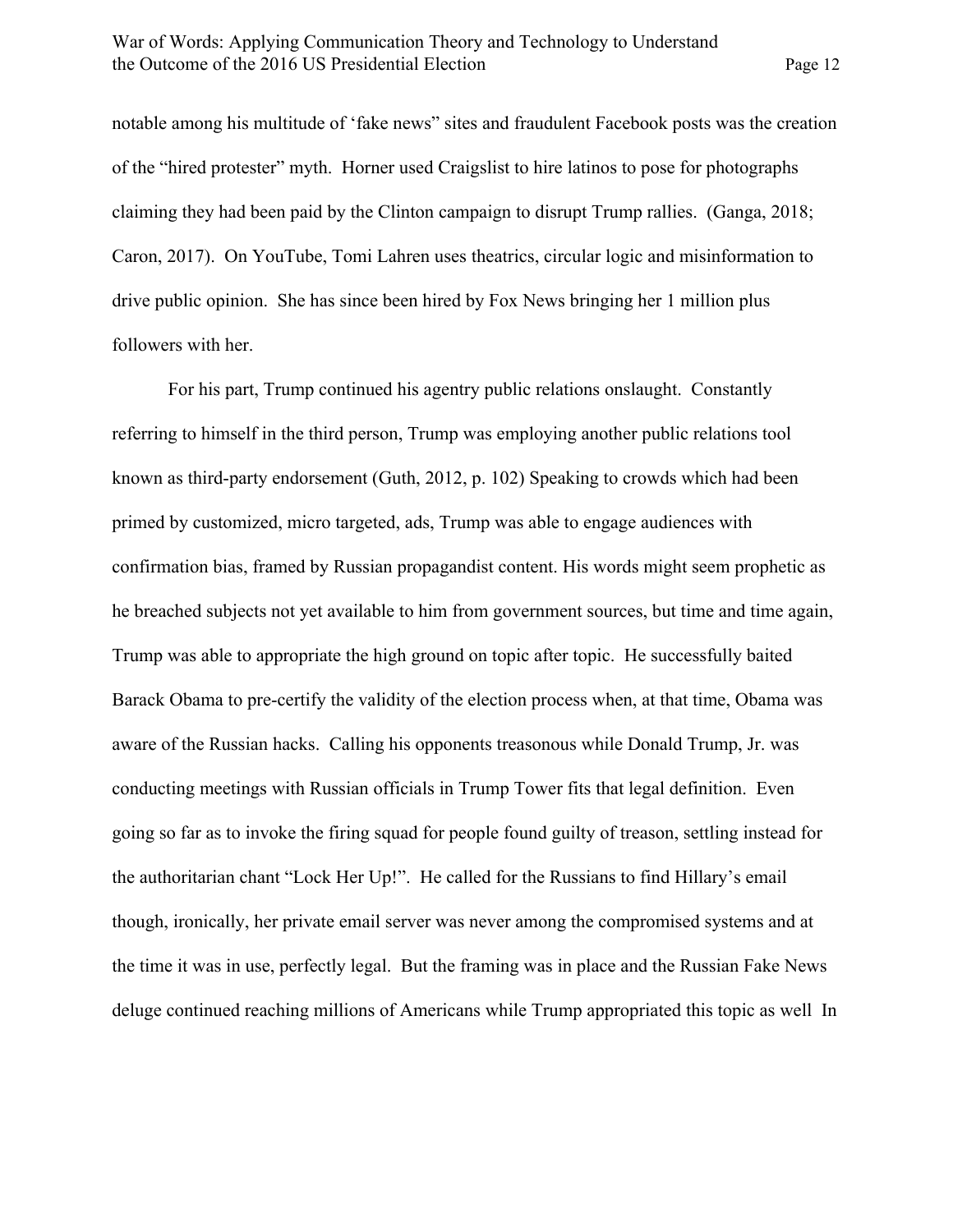notable among his multitude of 'fake news" sites and fraudulent Facebook posts was the creation of the "hired protester" myth. Horner used Craigslist to hire latinos to pose for photographs claiming they had been paid by the Clinton campaign to disrupt Trump rallies. (Ganga, 2018; Caron, 2017). On YouTube, Tomi Lahren uses theatrics, circular logic and misinformation to drive public opinion. She has since been hired by Fox News bringing her 1 million plus followers with her.

For his part, Trump continued his agentry public relations onslaught. Constantly referring to himself in the third person, Trump was employing another public relations tool known as third-party endorsement (Guth, 2012, p. 102) Speaking to crowds which had been primed by customized, micro targeted, ads, Trump was able to engage audiences with confirmation bias, framed by Russian propagandist content. His words might seem prophetic as he breached subjects not yet available to him from government sources, but time and time again, Trump was able to appropriate the high ground on topic after topic. He successfully baited Barack Obama to pre-certify the validity of the election process when, at that time, Obama was aware of the Russian hacks. Calling his opponents treasonous while Donald Trump, Jr. was conducting meetings with Russian officials in Trump Tower fits that legal definition. Even going so far as to invoke the firing squad for people found guilty of treason, settling instead for the authoritarian chant "Lock Her Up!". He called for the Russians to find Hillary's email though, ironically, her private email server was never among the compromised systems and at the time it was in use, perfectly legal. But the framing was in place and the Russian Fake News deluge continued reaching millions of Americans while Trump appropriated this topic as well In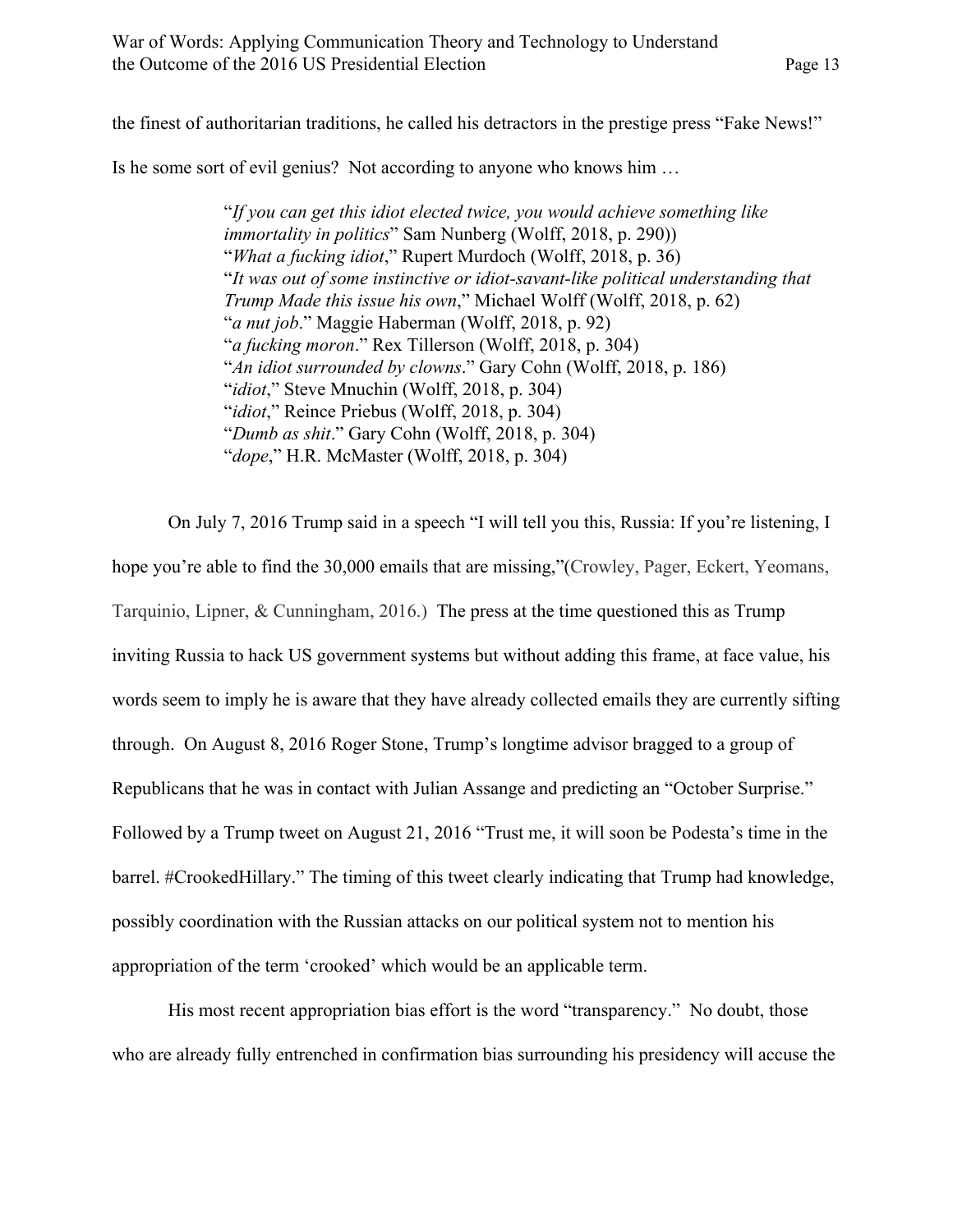the finest of authoritarian traditions, he called his detractors in the prestige press "Fake News!"

Is he some sort of evil genius? Not according to anyone who knows him …

"*If you can get this idiot elected twice, you would achieve something like immortality in politics*" Sam Nunberg (Wolff, 2018, p. 290)) "*What a fucking idiot*," Rupert Murdoch (Wolff, 2018, p. 36) "*It was out of some instinctive or idiot-savant-like political understanding that Trump Made this issue his own*," Michael Wolff (Wolff, 2018, p. 62) "*a nut job*." Maggie Haberman (Wolff, 2018, p. 92) "*a fucking moron*." Rex Tillerson (Wolff, 2018, p. 304) "*An idiot surrounded by clowns*." Gary Cohn (Wolff, 2018, p. 186) "*idiot*," Steve Mnuchin (Wolff, 2018, p. 304) "*idiot*," Reince Priebus (Wolff, 2018, p. 304) "*Dumb as shit*." Gary Cohn (Wolff, 2018, p. 304) "*dope*," H.R. McMaster (Wolff, 2018, p. 304)

On July 7, 2016 Trump said in a speech "I will tell you this, Russia: If you're listening, I hope you're able to find the 30,000 emails that are missing,"(Crowley, Pager, Eckert, Yeomans, Tarquinio, Lipner, & Cunningham, 2016.) The press at the time questioned this as Trump inviting Russia to hack US government systems but without adding this frame, at face value, his words seem to imply he is aware that they have already collected emails they are currently sifting through. On August 8, 2016 Roger Stone, Trump's longtime advisor bragged to a group of Republicans that he was in contact with Julian Assange and predicting an "October Surprise." Followed by a Trump tweet on August 21, 2016 "Trust me, it will soon be Podesta's time in the barrel. #CrookedHillary." The timing of this tweet clearly indicating that Trump had knowledge, possibly coordination with the Russian attacks on our political system not to mention his appropriation of the term 'crooked' which would be an applicable term.

His most recent appropriation bias effort is the word "transparency." No doubt, those who are already fully entrenched in confirmation bias surrounding his presidency will accuse the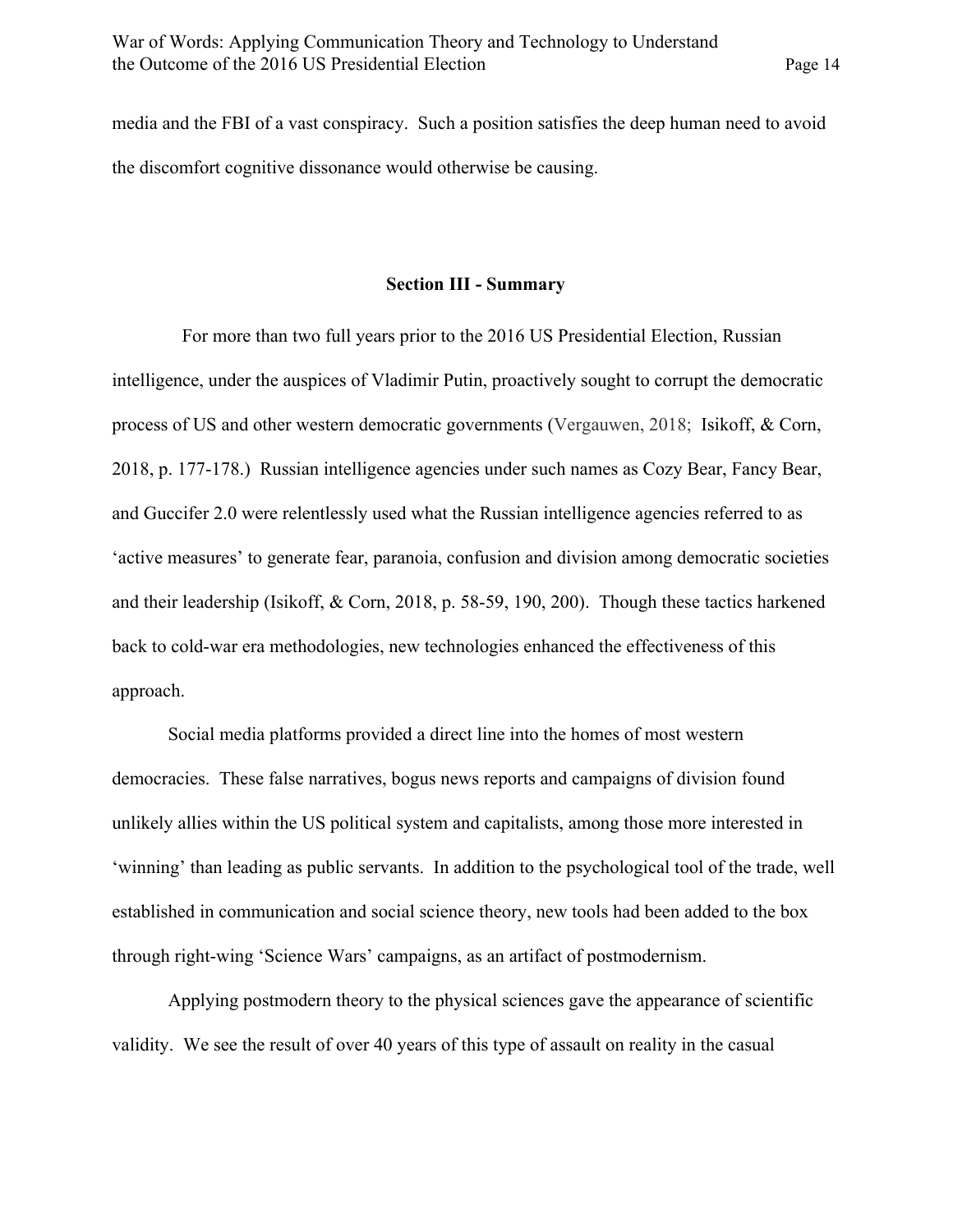media and the FBI of a vast conspiracy. Such a position satisfies the deep human need to avoid the discomfort cognitive dissonance would otherwise be causing.

## **Section III - Summary**

 For more than two full years prior to the 2016 US Presidential Election, Russian intelligence, under the auspices of Vladimir Putin, proactively sought to corrupt the democratic process of US and other western democratic governments (Vergauwen, 2018; Isikoff, & Corn, 2018, p. 177-178.) Russian intelligence agencies under such names as Cozy Bear, Fancy Bear, and Guccifer 2.0 were relentlessly used what the Russian intelligence agencies referred to as 'active measures' to generate fear, paranoia, confusion and division among democratic societies and their leadership (Isikoff, & Corn, 2018, p. 58-59, 190, 200). Though these tactics harkened back to cold-war era methodologies, new technologies enhanced the effectiveness of this approach.

Social media platforms provided a direct line into the homes of most western democracies. These false narratives, bogus news reports and campaigns of division found unlikely allies within the US political system and capitalists, among those more interested in 'winning' than leading as public servants. In addition to the psychological tool of the trade, well established in communication and social science theory, new tools had been added to the box through right-wing 'Science Wars' campaigns, as an artifact of postmodernism.

Applying postmodern theory to the physical sciences gave the appearance of scientific validity. We see the result of over 40 years of this type of assault on reality in the casual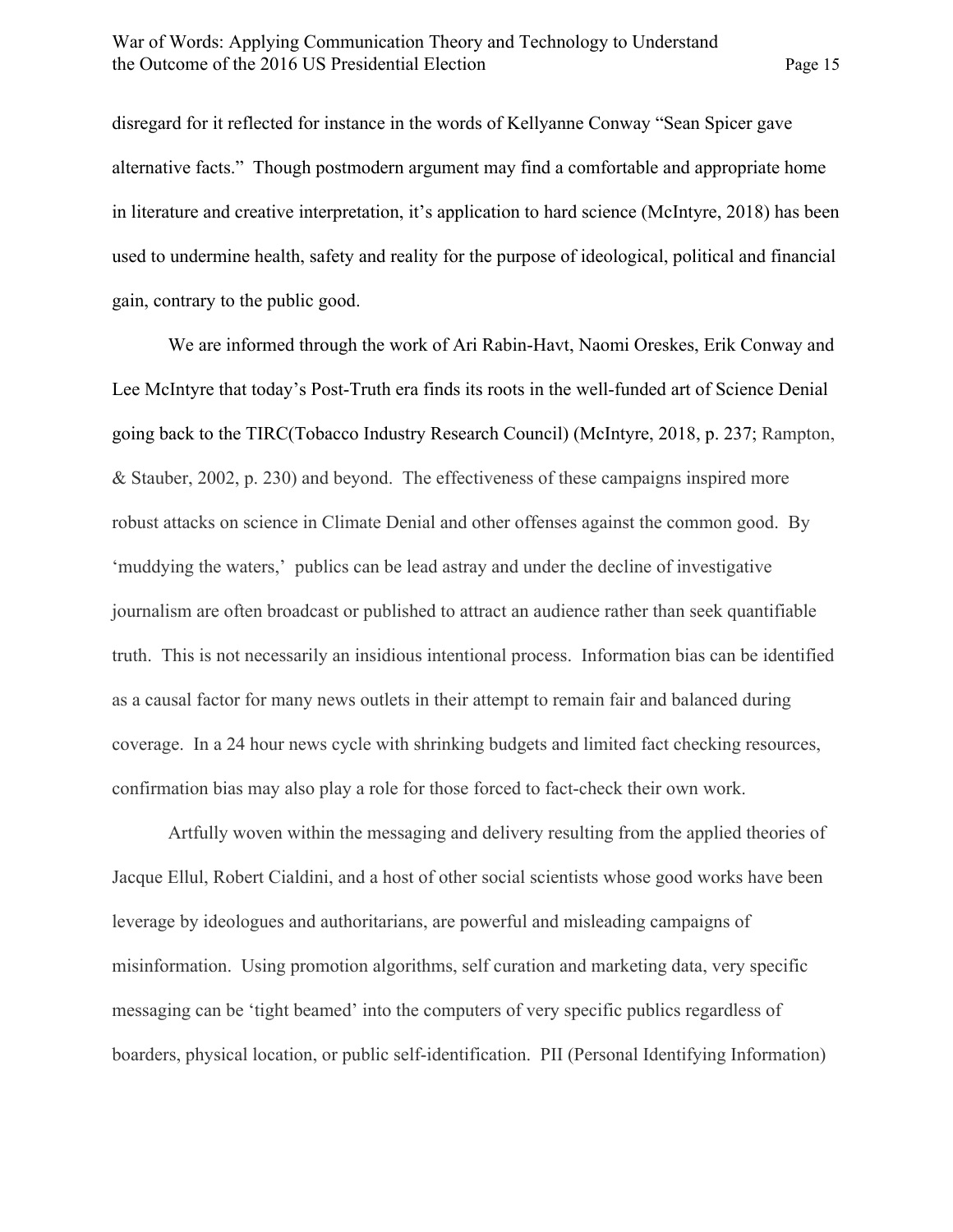disregard for it reflected for instance in the words of Kellyanne Conway "Sean Spicer gave alternative facts." Though postmodern argument may find a comfortable and appropriate home in literature and creative interpretation, it's application to hard science (McIntyre, 2018) has been used to undermine health, safety and reality for the purpose of ideological, political and financial gain, contrary to the public good.

We are informed through the work of Ari Rabin-Havt, Naomi Oreskes, Erik Conway and Lee McIntyre that today's Post-Truth era finds its roots in the well-funded art of Science Denial going back to the TIRC(Tobacco Industry Research Council) (McIntyre, 2018, p. 237; Rampton, & Stauber, 2002, p. 230) and beyond. The effectiveness of these campaigns inspired more robust attacks on science in Climate Denial and other offenses against the common good. By 'muddying the waters,' publics can be lead astray and under the decline of investigative journalism are often broadcast or published to attract an audience rather than seek quantifiable truth. This is not necessarily an insidious intentional process. Information bias can be identified as a causal factor for many news outlets in their attempt to remain fair and balanced during coverage. In a 24 hour news cycle with shrinking budgets and limited fact checking resources, confirmation bias may also play a role for those forced to fact-check their own work.

Artfully woven within the messaging and delivery resulting from the applied theories of Jacque Ellul, Robert Cialdini, and a host of other social scientists whose good works have been leverage by ideologues and authoritarians, are powerful and misleading campaigns of misinformation. Using promotion algorithms, self curation and marketing data, very specific messaging can be 'tight beamed' into the computers of very specific publics regardless of boarders, physical location, or public self-identification. PII (Personal Identifying Information)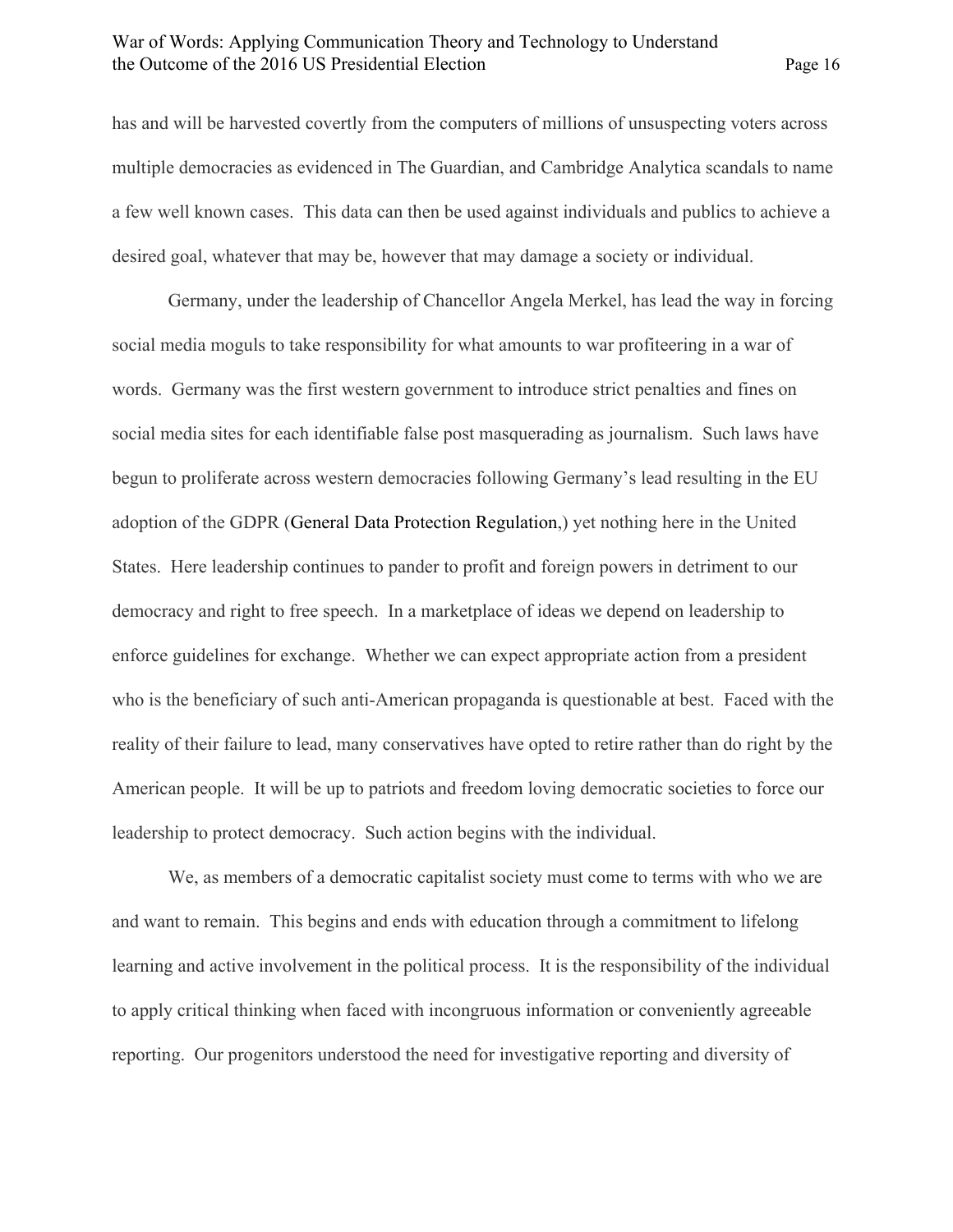has and will be harvested covertly from the computers of millions of unsuspecting voters across multiple democracies as evidenced in The Guardian, and Cambridge Analytica scandals to name a few well known cases. This data can then be used against individuals and publics to achieve a desired goal, whatever that may be, however that may damage a society or individual.

Germany, under the leadership of Chancellor Angela Merkel, has lead the way in forcing social media moguls to take responsibility for what amounts to war profiteering in a war of words. Germany was the first western government to introduce strict penalties and fines on social media sites for each identifiable false post masquerading as journalism. Such laws have begun to proliferate across western democracies following Germany's lead resulting in the EU adoption of the GDPR (General Data Protection Regulation,) yet nothing here in the United States. Here leadership continues to pander to profit and foreign powers in detriment to our democracy and right to free speech. In a marketplace of ideas we depend on leadership to enforce guidelines for exchange. Whether we can expect appropriate action from a president who is the beneficiary of such anti-American propaganda is questionable at best. Faced with the reality of their failure to lead, many conservatives have opted to retire rather than do right by the American people. It will be up to patriots and freedom loving democratic societies to force our leadership to protect democracy. Such action begins with the individual.

We, as members of a democratic capitalist society must come to terms with who we are and want to remain. This begins and ends with education through a commitment to lifelong learning and active involvement in the political process. It is the responsibility of the individual to apply critical thinking when faced with incongruous information or conveniently agreeable reporting. Our progenitors understood the need for investigative reporting and diversity of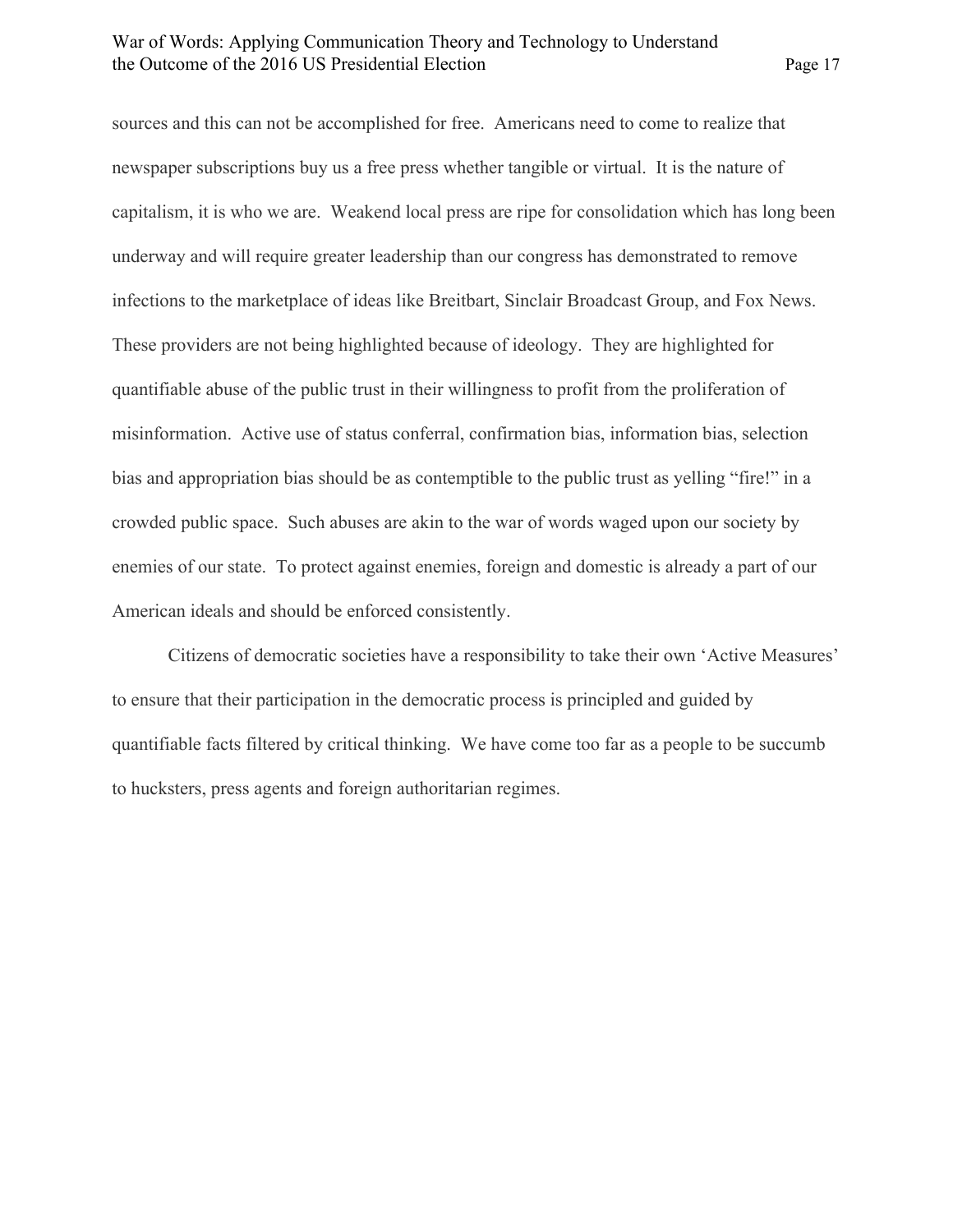sources and this can not be accomplished for free. Americans need to come to realize that newspaper subscriptions buy us a free press whether tangible or virtual. It is the nature of capitalism, it is who we are. Weakend local press are ripe for consolidation which has long been underway and will require greater leadership than our congress has demonstrated to remove infections to the marketplace of ideas like Breitbart, Sinclair Broadcast Group, and Fox News. These providers are not being highlighted because of ideology. They are highlighted for quantifiable abuse of the public trust in their willingness to profit from the proliferation of misinformation. Active use of status conferral, confirmation bias, information bias, selection bias and appropriation bias should be as contemptible to the public trust as yelling "fire!" in a crowded public space. Such abuses are akin to the war of words waged upon our society by enemies of our state. To protect against enemies, foreign and domestic is already a part of our American ideals and should be enforced consistently.

Citizens of democratic societies have a responsibility to take their own 'Active Measures' to ensure that their participation in the democratic process is principled and guided by quantifiable facts filtered by critical thinking. We have come too far as a people to be succumb to hucksters, press agents and foreign authoritarian regimes.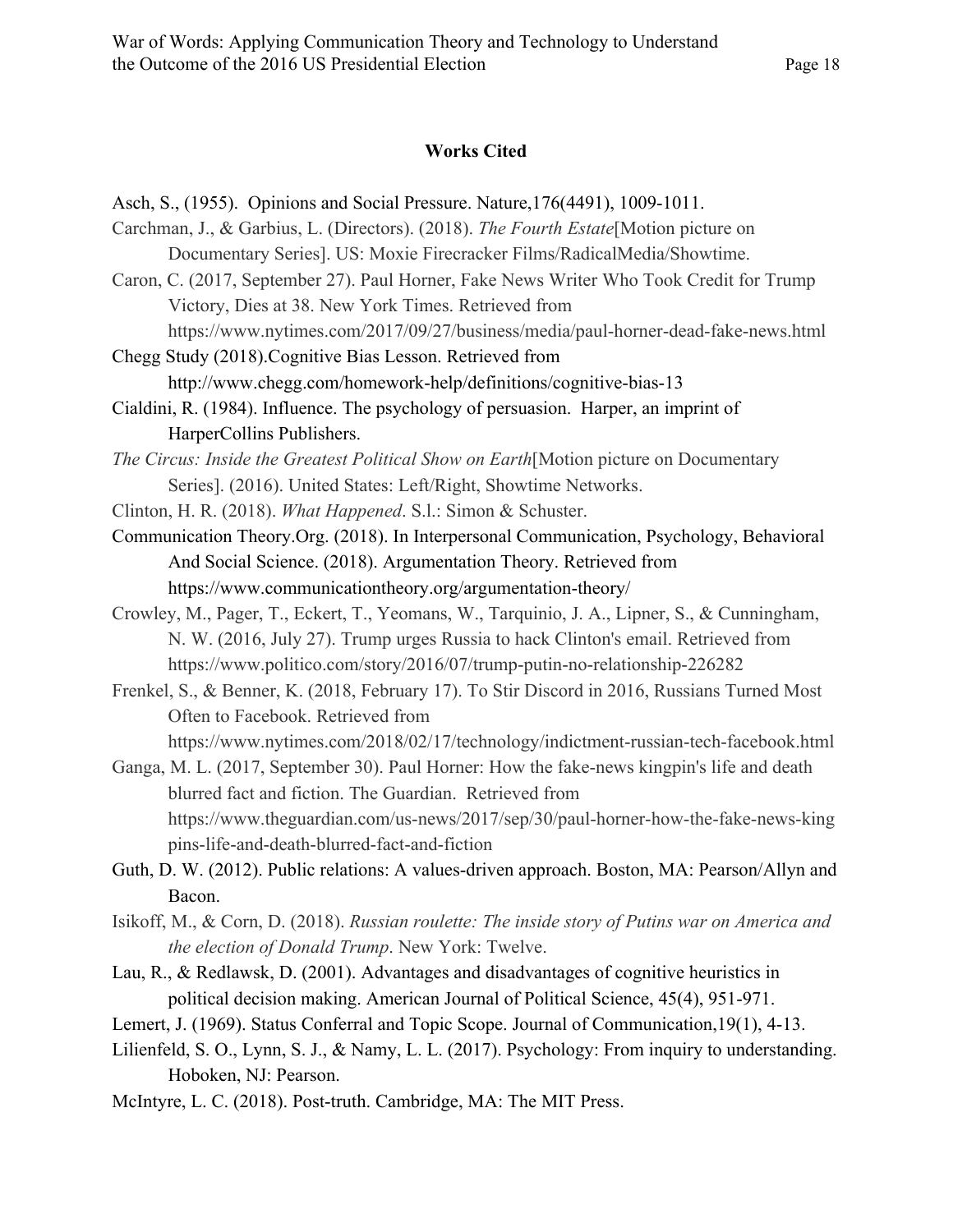#### **Works Cited**

- Asch, S., (1955). Opinions and Social Pressure. Nature,176(4491), 1009-1011. Carchman, J., & Garbius, L. (Directors). (2018). *The Fourth Estate*[Motion picture on Documentary Series]. US: Moxie Firecracker Films/RadicalMedia/Showtime. Caron, C. (2017, September 27). Paul Horner, Fake News Writer Who Took Credit for Trump Victory, Dies at 38. New York Times. Retrieved from https://www.nytimes.com/2017/09/27/business/media/paul-horner-dead-fake-news.html Chegg Study (2018).Cognitive Bias Lesson. Retrieved from http://www.chegg.com/homework-help/definitions/cognitive-bias-13 Cialdini, R. (1984). Influence. The psychology of persuasion. Harper, an imprint of HarperCollins Publishers. *The Circus: Inside the Greatest Political Show on Earth*[Motion picture on Documentary Series]. (2016). United States: Left/Right, Showtime Networks. Clinton, H. R. (2018). *What Happened*. S.l.: Simon & Schuster. Communication Theory.Org. (2018). In Interpersonal Communication, Psychology, Behavioral And Social Science. (2018). Argumentation Theory. Retrieved from https://www.communicationtheory.org/argumentation-theory/ Crowley, M., Pager, T., Eckert, T., Yeomans, W., Tarquinio, J. A., Lipner, S., & Cunningham, N. W. (2016, July 27). Trump urges Russia to hack Clinton's email. Retrieved from https://www.politico.com/story/2016/07/trump-putin-no-relationship-226282 Frenkel, S., & Benner, K. (2018, February 17). To Stir Discord in 2016, Russians Turned Most Often to Facebook. Retrieved from https://www.nytimes.com/2018/02/17/technology/indictment-russian-tech-facebook.html Ganga, M. L. (2017, September 30). Paul Horner: How the fake-news kingpin's life and death blurred fact and fiction. The Guardian. Retrieved from https://www.theguardian.com/us-news/2017/sep/30/paul-horner-how-the-fake-news-king pins-life-and-death-blurred-fact-and-fiction Guth, D. W. (2012). Public relations: A values-driven approach. Boston, MA: Pearson/Allyn and Bacon.
- Isikoff, M., & Corn, D. (2018). *Russian roulette: The inside story of Putins war on America and the election of Donald Trump*. New York: Twelve.
- Lau, R., & Redlawsk, D. (2001). Advantages and disadvantages of cognitive heuristics in political decision making. American Journal of Political Science, 45(4), 951-971.
- Lemert, J. (1969). Status Conferral and Topic Scope. Journal of Communication,19(1), 4-13.
- Lilienfeld, S. O., Lynn, S. J., & Namy, L. L. (2017). Psychology: From inquiry to understanding. Hoboken, NJ: Pearson.
- McIntyre, L. C. (2018). Post-truth. Cambridge, MA: The MIT Press.